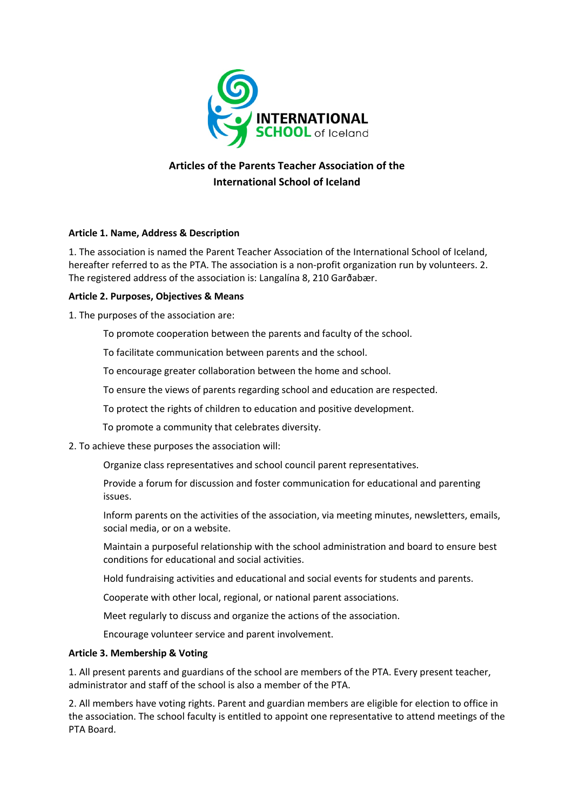

# **Articles of the Parents Teacher Association of the International School of Iceland**

## **Article 1. Name, Address & Description**

1. The association is named the Parent Teacher Association of the International School of Iceland, hereafter referred to as the PTA. The association is a non-profit organization run by volunteers. 2. The registered address of the association is: Langalína 8, 210 Garðabær.

## **Article 2. Purposes, Objectives & Means**

1. The purposes of the association are:

To promote cooperation between the parents and faculty of the school.

To facilitate communication between parents and the school.

To encourage greater collaboration between the home and school.

To ensure the views of parents regarding school and education are respected.

To protect the rights of children to education and positive development.

To promote a community that celebrates diversity.

## 2. To achieve these purposes the association will:

Organize class representatives and school council parent representatives.

Provide a forum for discussion and foster communication for educational and parenting issues.

Inform parents on the activities of the association, via meeting minutes, newsletters, emails, social media, or on a website.

Maintain a purposeful relationship with the school administration and board to ensure best conditions for educational and social activities.

Hold fundraising activities and educational and social events for students and parents.

Cooperate with other local, regional, or national parent associations.

Meet regularly to discuss and organize the actions of the association.

Encourage volunteer service and parent involvement.

## **Article 3. Membership & Voting**

1. All present parents and guardians of the school are members of the PTA. Every present teacher, administrator and staff of the school is also a member of the PTA.

2. All members have voting rights. Parent and guardian members are eligible for election to office in the association. The school faculty is entitled to appoint one representative to attend meetings of the PTA Board.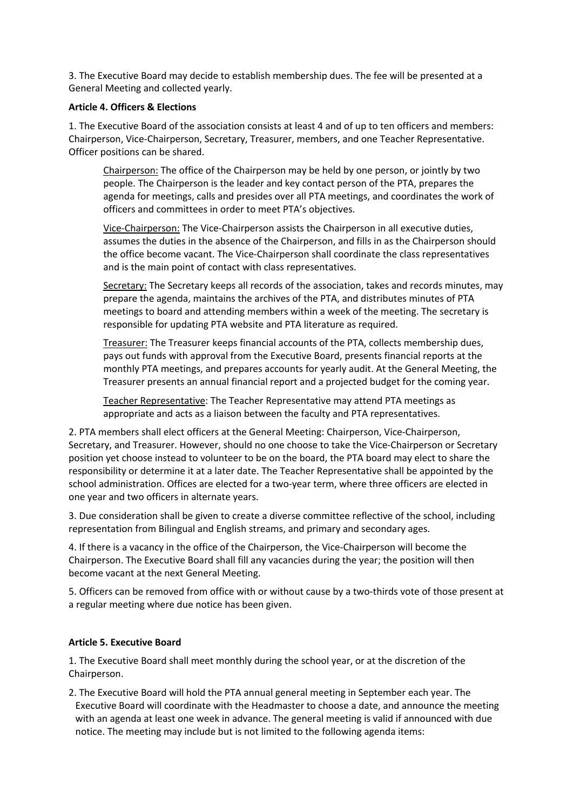3. The Executive Board may decide to establish membership dues. The fee will be presented at a General Meeting and collected yearly.

#### **Article 4. Officers & Elections**

1. The Executive Board of the association consists at least 4 and of up to ten officers and members: Chairperson, Vice-Chairperson, Secretary, Treasurer, members, and one Teacher Representative. Officer positions can be shared.

Chairperson: The office of the Chairperson may be held by one person, or jointly by two people. The Chairperson is the leader and key contact person of the PTA, prepares the agenda for meetings, calls and presides over all PTA meetings, and coordinates the work of officers and committees in order to meet PTA's objectives.

Vice-Chairperson: The Vice-Chairperson assists the Chairperson in all executive duties, assumes the duties in the absence of the Chairperson, and fills in as the Chairperson should the office become vacant. The Vice-Chairperson shall coordinate the class representatives and is the main point of contact with class representatives.

Secretary: The Secretary keeps all records of the association, takes and records minutes, may prepare the agenda, maintains the archives of the PTA, and distributes minutes of PTA meetings to board and attending members within a week of the meeting. The secretary is responsible for updating PTA website and PTA literature as required.

Treasurer: The Treasurer keeps financial accounts of the PTA, collects membership dues, pays out funds with approval from the Executive Board, presents financial reports at the monthly PTA meetings, and prepares accounts for yearly audit. At the General Meeting, the Treasurer presents an annual financial report and a projected budget for the coming year.

Teacher Representative: The Teacher Representative may attend PTA meetings as appropriate and acts as a liaison between the faculty and PTA representatives.

2. PTA members shall elect officers at the General Meeting: Chairperson, Vice-Chairperson, Secretary, and Treasurer. However, should no one choose to take the Vice-Chairperson or Secretary position yet choose instead to volunteer to be on the board, the PTA board may elect to share the responsibility or determine it at a later date. The Teacher Representative shall be appointed by the school administration. Offices are elected for a two-year term, where three officers are elected in one year and two officers in alternate years.

3. Due consideration shall be given to create a diverse committee reflective of the school, including representation from Bilingual and English streams, and primary and secondary ages.

4. If there is a vacancy in the office of the Chairperson, the Vice-Chairperson will become the Chairperson. The Executive Board shall fill any vacancies during the year; the position will then become vacant at the next General Meeting.

5. Officers can be removed from office with or without cause by a two-thirds vote of those present at a regular meeting where due notice has been given.

## **Article 5. Executive Board**

1. The Executive Board shall meet monthly during the school year, or at the discretion of the Chairperson.

2. The Executive Board will hold the PTA annual general meeting in September each year. The Executive Board will coordinate with the Headmaster to choose a date, and announce the meeting with an agenda at least one week in advance. The general meeting is valid if announced with due notice. The meeting may include but is not limited to the following agenda items: